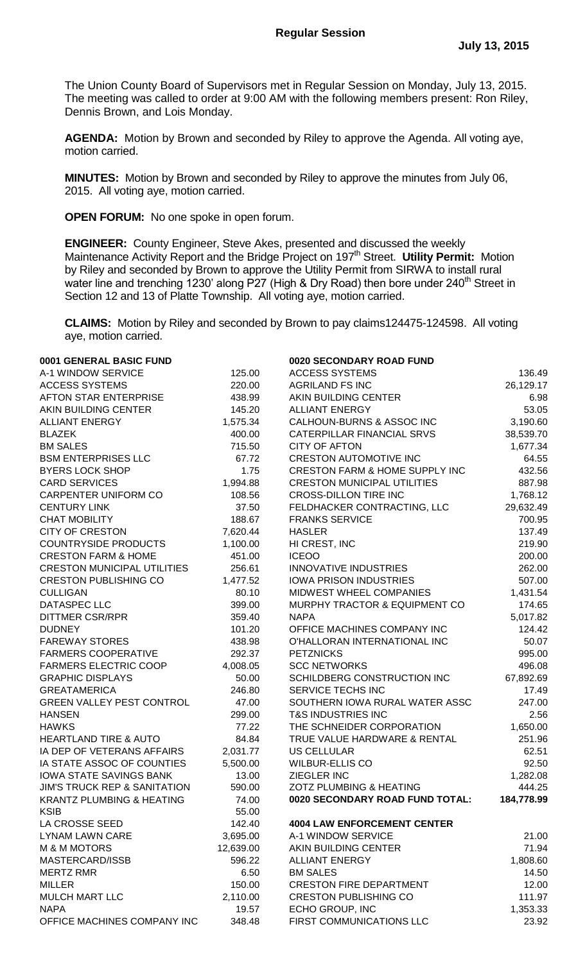The Union County Board of Supervisors met in Regular Session on Monday, July 13, 2015. The meeting was called to order at 9:00 AM with the following members present: Ron Riley, Dennis Brown, and Lois Monday.

**AGENDA:** Motion by Brown and seconded by Riley to approve the Agenda. All voting aye, motion carried.

**MINUTES:** Motion by Brown and seconded by Riley to approve the minutes from July 06, 2015. All voting aye, motion carried.

**OPEN FORUM:** No one spoke in open forum.

**ENGINEER:** County Engineer, Steve Akes, presented and discussed the weekly Maintenance Activity Report and the Bridge Project on 197<sup>th</sup> Street. Utility Permit: Motion by Riley and seconded by Brown to approve the Utility Permit from SIRWA to install rural water line and trenching 1230' along P27 (High & Dry Road) then bore under 240<sup>th</sup> Street in Section 12 and 13 of Platte Township. All voting aye, motion carried.

**CLAIMS:** Motion by Riley and seconded by Brown to pay claims124475-124598. All voting aye, motion carried.

| 0001 GENERAL BASIC FUND                 |           | 0020 SECONDARY ROAD FUND                  |            |
|-----------------------------------------|-----------|-------------------------------------------|------------|
| A-1 WINDOW SERVICE                      | 125.00    | <b>ACCESS SYSTEMS</b>                     | 136.49     |
| <b>ACCESS SYSTEMS</b>                   | 220.00    | <b>AGRILAND FS INC</b>                    | 26,129.17  |
| AFTON STAR ENTERPRISE                   | 438.99    | AKIN BUILDING CENTER                      | 6.98       |
| AKIN BUILDING CENTER                    | 145.20    | <b>ALLIANT ENERGY</b>                     | 53.05      |
| <b>ALLIANT ENERGY</b>                   | 1,575.34  | CALHOUN-BURNS & ASSOC INC                 | 3,190.60   |
| <b>BLAZEK</b>                           | 400.00    | CATERPILLAR FINANCIAL SRVS                | 38,539.70  |
| <b>BM SALES</b>                         | 715.50    | <b>CITY OF AFTON</b>                      | 1,677.34   |
| <b>BSM ENTERPRISES LLC</b>              | 67.72     | <b>CRESTON AUTOMOTIVE INC</b>             | 64.55      |
| <b>BYERS LOCK SHOP</b>                  | 1.75      | <b>CRESTON FARM &amp; HOME SUPPLY INC</b> | 432.56     |
| <b>CARD SERVICES</b>                    | 1,994.88  | <b>CRESTON MUNICIPAL UTILITIES</b>        | 887.98     |
| CARPENTER UNIFORM CO                    | 108.56    | <b>CROSS-DILLON TIRE INC</b>              | 1,768.12   |
| <b>CENTURY LINK</b>                     | 37.50     | FELDHACKER CONTRACTING, LLC               | 29,632.49  |
| <b>CHAT MOBILITY</b>                    | 188.67    | <b>FRANKS SERVICE</b>                     | 700.95     |
| <b>CITY OF CRESTON</b>                  | 7,620.44  | <b>HASLER</b>                             | 137.49     |
| <b>COUNTRYSIDE PRODUCTS</b>             | 1,100.00  | HI CREST, INC                             | 219.90     |
| <b>CRESTON FARM &amp; HOME</b>          | 451.00    | <b>ICEOO</b>                              | 200.00     |
| <b>CRESTON MUNICIPAL UTILITIES</b>      | 256.61    | <b>INNOVATIVE INDUSTRIES</b>              | 262.00     |
| <b>CRESTON PUBLISHING CO</b>            | 1,477.52  | <b>IOWA PRISON INDUSTRIES</b>             | 507.00     |
| <b>CULLIGAN</b>                         | 80.10     | MIDWEST WHEEL COMPANIES                   | 1,431.54   |
| DATASPEC LLC                            | 399.00    | MURPHY TRACTOR & EQUIPMENT CO             | 174.65     |
| <b>DITTMER CSR/RPR</b>                  | 359.40    | <b>NAPA</b>                               | 5,017.82   |
| <b>DUDNEY</b>                           | 101.20    | OFFICE MACHINES COMPANY INC               | 124.42     |
| <b>FAREWAY STORES</b>                   | 438.98    | O'HALLORAN INTERNATIONAL INC              | 50.07      |
| <b>FARMERS COOPERATIVE</b>              | 292.37    | <b>PETZNICKS</b>                          | 995.00     |
| <b>FARMERS ELECTRIC COOP</b>            | 4,008.05  | <b>SCC NETWORKS</b>                       | 496.08     |
| <b>GRAPHIC DISPLAYS</b>                 | 50.00     | SCHILDBERG CONSTRUCTION INC               | 67,892.69  |
| <b>GREATAMERICA</b>                     | 246.80    | SERVICE TECHS INC                         | 17.49      |
| <b>GREEN VALLEY PEST CONTROL</b>        | 47.00     | SOUTHERN IOWA RURAL WATER ASSC            | 247.00     |
| <b>HANSEN</b>                           | 299.00    | <b>T&amp;S INDUSTRIES INC</b>             | 2.56       |
| <b>HAWKS</b>                            | 77.22     | THE SCHNEIDER CORPORATION                 | 1,650.00   |
| <b>HEARTLAND TIRE &amp; AUTO</b>        | 84.84     | TRUE VALUE HARDWARE & RENTAL              | 251.96     |
| IA DEP OF VETERANS AFFAIRS              | 2,031.77  | <b>US CELLULAR</b>                        | 62.51      |
| IA STATE ASSOC OF COUNTIES              | 5,500.00  | <b>WILBUR-ELLIS CO</b>                    | 92.50      |
| <b>IOWA STATE SAVINGS BANK</b>          | 13.00     | ZIEGLER INC                               | 1,282.08   |
| <b>JIM'S TRUCK REP &amp; SANITATION</b> | 590.00    | <b>ZOTZ PLUMBING &amp; HEATING</b>        | 444.25     |
| <b>KRANTZ PLUMBING &amp; HEATING</b>    | 74.00     | 0020 SECONDARY ROAD FUND TOTAL:           | 184,778.99 |
| <b>KSIB</b>                             | 55.00     |                                           |            |
| LA CROSSE SEED                          | 142.40    | <b>4004 LAW ENFORCEMENT CENTER</b>        |            |
| <b>LYNAM LAWN CARE</b>                  | 3,695.00  | A-1 WINDOW SERVICE                        | 21.00      |
| <b>M &amp; M MOTORS</b>                 | 12,639.00 | AKIN BUILDING CENTER                      | 71.94      |
| MASTERCARD/ISSB                         | 596.22    | <b>ALLIANT ENERGY</b>                     | 1,808.60   |
| <b>MERTZ RMR</b>                        | 6.50      | <b>BM SALES</b>                           | 14.50      |
| <b>MILLER</b>                           | 150.00    | <b>CRESTON FIRE DEPARTMENT</b>            | 12.00      |
| <b>MULCH MART LLC</b>                   | 2,110.00  | <b>CRESTON PUBLISHING CO</b>              | 111.97     |
| <b>NAPA</b>                             | 19.57     | ECHO GROUP, INC                           | 1,353.33   |
| OFFICE MACHINES COMPANY INC             | 348.48    | FIRST COMMUNICATIONS LLC                  | 23.92      |